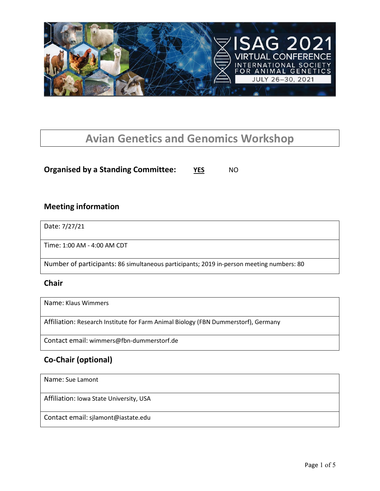

# **Avian Genetics and Genomics Workshop**

**Organised by a Standing Committee:** YES NO

### **Meeting information**

Date: 7/27/21

Time: 1:00 AM - 4:00 AM CDT

Number of participants: 86 simultaneous participants; 2019 in-person meeting numbers: 80

#### **Chair**

Name: Klaus Wimmers

Affiliation: Research Institute for Farm Animal Biology (FBN Dummerstorf), Germany

Contact email: wimmers@fbn-dummerstorf.de

## **Co-Chair (optional)**

Name: Sue Lamont

Affiliation: Iowa State University, USA

Contact email: sjlamont@iastate.edu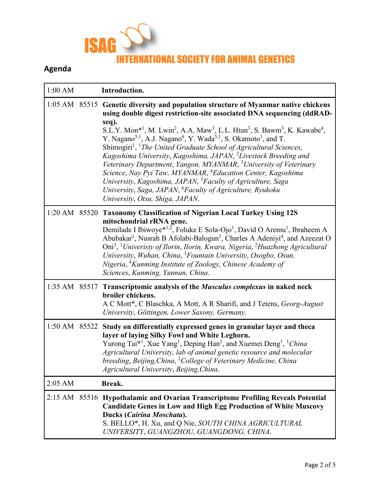

# **Agenda**

| $1:00$ AM     | Introduction.                                                                                                                                                                                                                                                                                                                                                                                                                                                                                                                                                                                                                                                                                                                                                                                                                                                                                                                                                                   |
|---------------|---------------------------------------------------------------------------------------------------------------------------------------------------------------------------------------------------------------------------------------------------------------------------------------------------------------------------------------------------------------------------------------------------------------------------------------------------------------------------------------------------------------------------------------------------------------------------------------------------------------------------------------------------------------------------------------------------------------------------------------------------------------------------------------------------------------------------------------------------------------------------------------------------------------------------------------------------------------------------------|
|               | 1:05 AM 85515 Genetic diversity and population structure of Myanmar native chickens<br>using double digest restriction-site associated DNA sequencing (ddRAD-<br>seq).<br>S.L.Y. Mon <sup>*1</sup> , M. Lwin <sup>2</sup> , A.A. Maw <sup>3</sup> , L.L. Htun <sup>3</sup> , S. Bawm <sup>3</sup> , K. Kawabe <sup>4</sup> ,<br>Y. Nagano <sup>5,1</sup> , A.J. Nagano <sup>6</sup> , Y. Wada <sup>5,1</sup> , S. Okamoto <sup>1</sup> , and T.<br>Shimogiri <sup>1</sup> , <sup>1</sup> The United Graduate School of Agricultural Sciences,<br>Kagoshima University, Kagoshima, JAPAN, <sup>2</sup> Livestock Breeding and<br>Veterinary Department, Yangon, MYANMAR, <sup>3</sup> University of Veterinary<br>Science, Nay Pyi Taw, MYANMAR, <sup>4</sup> Education Center, Kagoshima<br>University, Kagoshima, JAPAN, <sup>5</sup> Faculty of Agriculture, Saga<br>University, Saga, JAPAN, <sup>6</sup> Faculty of Agriculture, Ryukoku<br>University, Otsu, Shiga, JAPAN. |
| 1:20 AM 85520 | <b>Taxonomy Classification of Nigerian Local Turkey Using 12S</b><br>mitochondrial rRNA gene.<br>Demilade I Ibiwoye* <sup>1,2</sup> , Foluke E Sola-Ojo <sup>1</sup> , David O Aremu <sup>1</sup> , Ibraheem A<br>Abubakar <sup>1</sup> , Nusrah B Afolabi-Balogun <sup>3</sup> , Charles A Adeniyi <sup>4</sup> , and Azeezat O<br>Oni <sup>3</sup> , <sup>1</sup> Univeristy of Ilorin, Ilorin, Kwara, Nigeria, <sup>2</sup> Huazhong Agricultural<br>University, Wuhan, China, <sup>3</sup> Fountain University, Osogbo, Osun,<br>Nigeria, <sup>4</sup> Kunming Institute of Zoology, Chinese Academy of<br>Sciences, Kunming, Yunnan, China.                                                                                                                                                                                                                                                                                                                                |
|               | 1:35 AM 85517 Transcriptomic analysis of the Musculus complexus in naked neck<br>broiler chickens.<br>A C Mott*, C Blaschka, A Mott, A R Sharifi, and J Tetens, Georg-August<br>University, Göttingen, Lower Saxony, Germany.                                                                                                                                                                                                                                                                                                                                                                                                                                                                                                                                                                                                                                                                                                                                                   |
|               | 1:50 AM 85522 Study on differentially expressed genes in granular layer and theca<br>layer of laying Silky Fowl and White Leghorn.<br>Yurong Tai <sup>*1</sup> , Xue Yang <sup>1</sup> , Deping Han <sup>2</sup> , and Xuemei Deng <sup>1</sup> , <sup>1</sup> China<br>Agricultural University, lab of animal genetic resource and molecular<br>breeding, Beijing, China, <sup>2</sup> College of Veterinary Medicine, China<br>Agricultural University, Beijing, China.                                                                                                                                                                                                                                                                                                                                                                                                                                                                                                       |
| $2:05$ AM     | Break.                                                                                                                                                                                                                                                                                                                                                                                                                                                                                                                                                                                                                                                                                                                                                                                                                                                                                                                                                                          |
|               | 2:15 AM 85516 Hypothalamic and Ovarian Transcriptome Profiling Reveals Potential<br><b>Candidate Genes in Low and High Egg Production of White Muscovy</b><br><b>Ducks (Cairina Moschata).</b><br>S. BELLO*, H. Xu, and Q Nie, SOUTH CHINA AGRICULTURAL<br>UNIVERSITY, GUANGZHOU, GUANGDONG, CHINA.                                                                                                                                                                                                                                                                                                                                                                                                                                                                                                                                                                                                                                                                             |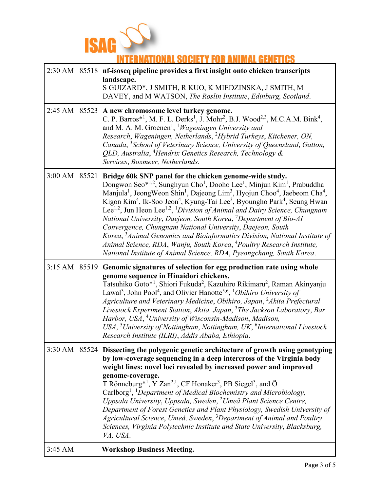

# **INTERNATIONAL SOCIETY FOR ANIMAL GENETICS**

|               | 2:30 AM 85518 nf-isoseq pipeline provides a first insight onto chicken transcripts<br>landscape.<br>S GUIZARD*, J SMITH, R KUO, K MIEDZINSKA, J SMITH, M<br>DAVEY, and M WATSON, The Roslin Institute, Edinburg, Scotland.                                                                                                                                                                                                                                                                                                                                                                                                                                                                                                                                                                                                                                                                                                                                       |
|---------------|------------------------------------------------------------------------------------------------------------------------------------------------------------------------------------------------------------------------------------------------------------------------------------------------------------------------------------------------------------------------------------------------------------------------------------------------------------------------------------------------------------------------------------------------------------------------------------------------------------------------------------------------------------------------------------------------------------------------------------------------------------------------------------------------------------------------------------------------------------------------------------------------------------------------------------------------------------------|
|               | 2:45 AM 85523 A new chromosome level turkey genome.<br>C. P. Barros* <sup>1</sup> , M. F. L. Derks <sup>1</sup> , J. Mohr <sup>2</sup> , B.J. Wood <sup>2,3</sup> , M.C.A.M. Bink <sup>4</sup> ,<br>and M. A. M. Groenen <sup>1</sup> , <sup>1</sup> Wageningen University and<br>Research, Wageningen, Netherlands, <sup>2</sup> Hybrid Turkeys, Kitchener, ON,<br>Canada, <sup>3</sup> School of Veterinary Science, University of Queensland, Gatton,<br>QLD, Australia, <sup>4</sup> Hendrix Genetics Research, Technology &<br>Services, Boxmeer, Netherlands.                                                                                                                                                                                                                                                                                                                                                                                              |
| 3:00 AM 85521 | Bridge 60k SNP panel for the chicken genome-wide study.<br>Dongwon Seo*1,2, Sunghyun Cho <sup>1</sup> , Dooho Lee <sup>1</sup> , Minjun Kim <sup>1</sup> , Prabuddha<br>Manjula <sup>1</sup> , Jeong Weon Shin <sup>1</sup> , Dajeong Lim <sup>3</sup> , Hyojun Choo <sup>4</sup> , Jaebeom Cha <sup>4</sup> ,<br>Kigon Kim <sup>4</sup> , Ik-Soo Jeon <sup>4</sup> , Kyung-Tai Lee <sup>3</sup> , Byoungho Park <sup>4</sup> , Seung Hwan<br>Lee <sup>1,2</sup> , Jun Heon Lee <sup>1,2</sup> , <sup>1</sup> Division of Animal and Dairy Science, Chungnam<br>National University, Daejeon, South Korea, <sup>2</sup> Department of Bio-AI<br>Convergence, Chungnam National University, Daejeon, South<br>Korea, <sup>3</sup> Animal Genomics and Bioinformatics Division, National Institute of<br>Animal Science, RDA, Wanju, South Korea, <sup>4</sup> Poultry Research Institute,<br>National Institute of Animal Science, RDA, Pyeongchang, South Korea. |
| 3:15 AM 85519 | Genomic signatures of selection for egg production rate using whole<br>genome sequence in Hinaidori chickens.<br>Tatsuhiko Goto* <sup>1</sup> , Shiori Fukuda <sup>2</sup> , Kazuhiro Rikimaru <sup>2</sup> , Raman Akinyanju<br>Lawal <sup>3</sup> , John Pool <sup>4</sup> , and Olivier Hanotte <sup>5,6</sup> , <sup>1</sup> Obihiro University of<br>Agriculture and Veterinary Medicine, Obihiro, Japan, <sup>2</sup> Akita Prefectural<br>Livestock Experiment Station, Akita, Japan, <sup>3</sup> The Jackson Laboratory, Bar<br>Harbor, USA, <sup>4</sup> University of Wisconsin-Madison, Madison,<br>USA, <sup>5</sup> University of Nottingham, Nottingham, UK, <sup>6</sup> International Livestock<br>Research Institute (ILRI), Addis Ababa, Ethiopia.                                                                                                                                                                                            |
|               | 3:30 AM 85524 Dissecting the polygenic genetic architecture of growth using genotyping<br>by low-coverage sequencing in a deep intercross of the Virginia body<br>weight lines: novel loci revealed by increased power and improved<br>genome-coverage.<br>T Rönneburg <sup>*1</sup> , Y Zan <sup>2,1</sup> , CF Honaker <sup>3</sup> , PB Siegel <sup>3</sup> , and Ö<br>Carlborg <sup>1</sup> , <sup>1</sup> Department of Medical Biochemistry and Microbiology,<br>Uppsala University, Uppsala, Sweden, <sup>2</sup> Umeå Plant Science Centre,<br>Department of Forest Genetics and Plant Physiology, Swedish University of<br>Agricultural Science, Umeå, Sweden, <sup>3</sup> Department of Animal and Poultry<br>Sciences, Virginia Polytechnic Institute and State University, Blacksburg,<br>VA, USA.                                                                                                                                                  |
| 3:45 AM       | <b>Workshop Business Meeting.</b>                                                                                                                                                                                                                                                                                                                                                                                                                                                                                                                                                                                                                                                                                                                                                                                                                                                                                                                                |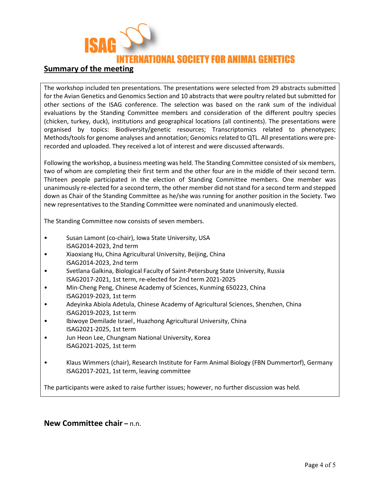

#### **Summary of the meeting**

The workshop included ten presentations. The presentations were selected from 29 abstracts submitted for the Avian Genetics and Genomics Section and 10 abstracts that were poultry related but submitted for other sections of the ISAG conference. The selection was based on the rank sum of the individual evaluations by the Standing Committee members and consideration of the different poultry species (chicken, turkey, duck), institutions and geographical locations (all continents). The presentations were organised by topics: Biodiversity/genetic resources; Transcriptomics related to phenotypes; Methods/tools for genome analyses and annotation; Genomics related to QTL. All presentations were prerecorded and uploaded. They received a lot of interest and were discussed afterwards.

Following the workshop, a business meeting was held. The Standing Committee consisted of six members, two of whom are completing their first term and the other four are in the middle of their second term. Thirteen people participated in the election of Standing Committee members. One member was unanimously re-elected for a second term, the other member did not stand for a second term and stepped down as Chair of the Standing Committee as he/she was running for another position in the Society. Two new representatives to the Standing Committee were nominated and unanimously elected.

The Standing Committee now consists of seven members.

- Susan Lamont (co-chair), Iowa State University, USA ISAG2014-2023, 2nd term
- Xiaoxiang Hu, China Agricultural University, Beijing, China ISAG2014-2023, 2nd term
- Svetlana Galkina, Biological Faculty of Saint-Petersburg State University, Russia ISAG2017-2021, 1st term, re-elected for 2nd term 2021-2025
- Min-Cheng Peng, Chinese Academy of Sciences, Kunming 650223, China ISAG2019-2023, 1st term
- Adeyinka Abiola Adetula, Chinese Academy of Agricultural Sciences, Shenzhen, China ISAG2019-2023, 1st term
- Ibiwoye Demilade Israel, Huazhong Agricultural University, China ISAG2021-2025, 1st term
- Jun Heon Lee, Chungnam National University, Korea ISAG2021-2025, 1st term
- Klaus Wimmers (chair), Research Institute for Farm Animal Biology (FBN Dummertorf), Germany ISAG2017-2021, 1st term, leaving committee

The participants were asked to raise further issues; however, no further discussion was held.

#### **New Committee chair –** n.n.